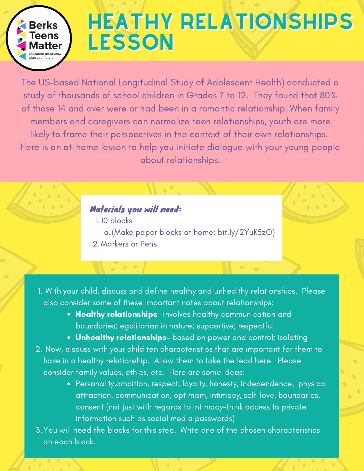

## HEATHY RELATIONSHIPS HEATHY RELATIONSHIPS LESSON LESSON

The US-based National Longitudinal Study of Adolescent Health) conducted a study of thousands of school children in Grades 7 to 12. They found that 80% of those 14 and over were or had been in a romantic relationship. When family members and caregivers can normalize teen relationships, youth are more likely to frame their perspectives in the context of their own relationships. Here is an at-home lesson to help you initiate dialogue with your young people about relationships:

## Materials you will need:

<u>and a state</u>

1.10 blocks (Make paper blocks at home: bit.ly/2YuK5zO) a. Markers or Pens 2.

**The Company** 

- With your child, discuss and define healthy and unhealthy relationships. Please 1. also consider some of these important notes about relationships:
	- Healthy relationships- involves healthy communication and boundaries; egalitarian in nature; supportive; respectful
	- Unhealthy relationships- based on power and control; isolating
- 2. Now, discuss with your child ten characteristics that are important for them to have in a healthy relationship. Allow them to take the lead here. Please consider family values, ethics, etc. Here are some ideas:
	- Personality,ambition, respect, loyalty, honesty, independence, physical attraction, communication, optimism, intimacy, self-love, boundaries, consent (not just with regards to intimacy-think access to private information such as social media passwords)
- You will need the blocks for this step. Write one of the chosen characteristics 3. on each block.